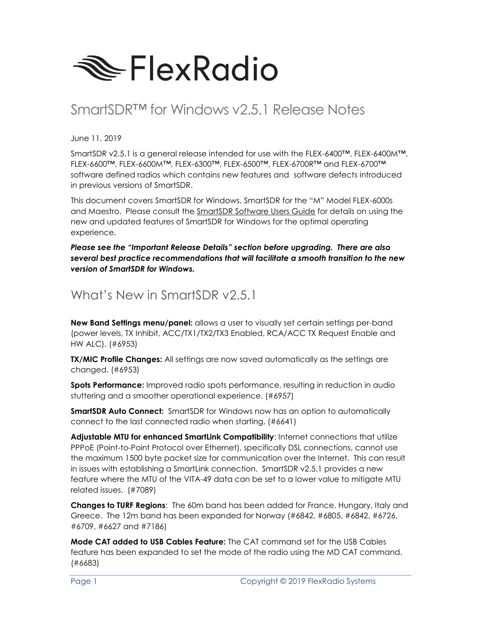

# SmartSDR™ for Windows v2.5.1 Release Notes

June 11, 2019

SmartSDR v2.5.1 is a general release intended for use with the FLEX-6400™, FLEX-6400M™, FLEX-6600™, FLEX-6600M™, FLEX-6300™, FLEX-6500™, FLEX-6700R™ and FLEX-6700™ software defined radios which contains new features and software defects introduced in previous versions of SmartSDR.

This document covers SmartSDR for Windows, SmartSDR for the "M" Model FLEX-6000s and Maestro. Please consult the SmartSDR Software Users Guide for details on using the new and updated features of SmartSDR for Windows for the optimal operating experience.

*Please see the "Important Release Details" section before upgrading. There are also several best practice recommendations that will facilitate a smooth transition to the new version of SmartSDR for Windows.*

### What's New in SmartSDR v2.5.1

**New Band Settings menu/panel:** allows a user to visually set certain settings per-band (power levels, TX Inhibit, ACC/TX1/TX2/TX3 Enabled, RCA/ACC TX Request Enable and HW ALC). (#6953)

**TX/MIC Profile Changes:** All settings are now saved automatically as the settings are changed. (#6953)

**Spots Performance:** Improved radio spots performance, resulting in reduction in audio stuttering and a smoother operational experience. (#6957)

**SmartSDR Auto Connect:** SmartSDR for Windows now has an option to automatically connect to the last connected radio when starting. (#6641)

**Adjustable MTU for enhanced SmartLink Compatibility**: Internet connections that utilize PPPoE (Point-to-Point Protocol over Ethernet), specifically DSL connections, cannot use the maximum 1500 byte packet size for communication over the Internet. This can result in issues with establishing a SmartLink connection. SmartSDR v2.5.1 provides a new feature where the MTU of the VITA-49 data can be set to a lower value to mitigate MTU related issues. (#7089)

**Changes to TURF Regions**: The 60m band has been added for France, Hungary, Italy and Greece. The 12m band has been expanded for Norway (#6842, #6805, #6842, #6726, #6709, #6627 and #7186)

**Mode CAT added to USB Cables Feature:** The CAT command set for the USB Cables feature has been expanded to set the mode of the radio using the MD CAT command. (#6683)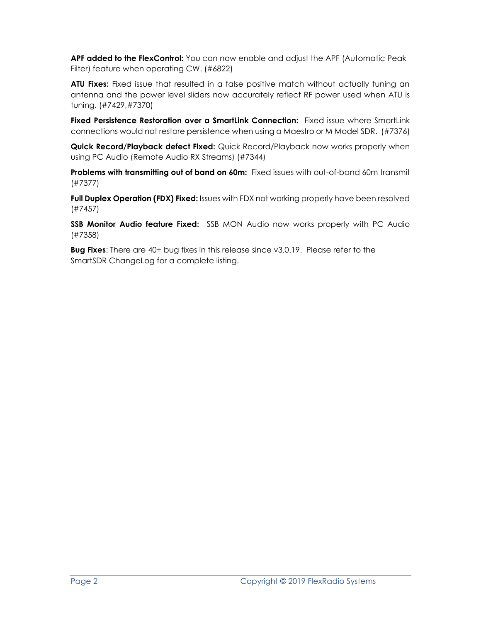**APF added to the FlexControl:** You can now enable and adjust the APF (Automatic Peak Filter) feature when operating CW. (#6822)

**ATU Fixes:** Fixed issue that resulted in a false positive match without actually tuning an antenna and the power level sliders now accurately reflect RF power used when ATU is tuning. (#7429,#7370)

**Fixed Persistence Restoration over a SmartLink Connection:** Fixed issue where SmartLink connections would not restore persistence when using a Maestro or M Model SDR. (#7376)

**Quick Record/Playback defect Fixed:** Quick Record/Playback now works properly when using PC Audio (Remote Audio RX Streams) (#7344)

**Problems with transmitting out of band on 60m:** Fixed issues with out-of-band 60m transmit (#7377)

**Full Duplex Operation (FDX) Fixed:** Issues with FDX not working properly have been resolved (#7457)

**SSB Monitor Audio feature Fixed:** SSB MON Audio now works properly with PC Audio (#7358)

**Bug Fixes**: There are 40+ bug fixes in this release since v3.0.19. Please refer to the SmartSDR ChangeLog for a complete listing.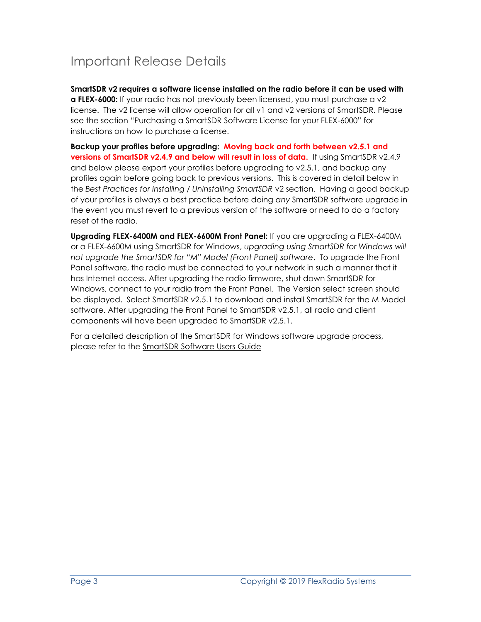## Important Release Details

**SmartSDR v2 requires a software license installed on the radio before it can be used with a FLEX-6000:** If your radio has not previously been licensed, you must purchase a v2 license. The v2 license will allow operation for all v1 and v2 versions of SmartSDR. Please see the section "Purchasing a SmartSDR Software License for your FLEX-6000" for instructions on how to purchase a license.

**Backup your profiles before upgrading: Moving back and forth between v2.5.1 and versions of SmartSDR v2.4.9 and below will result in loss of data.** If using SmartSDR v2.4.9 and below please export your profiles before upgrading to v2.5.1, and backup any profiles again before going back to previous versions. This is covered in detail below in the *Best Practices for Installing / Uninstalling SmartSDR* v2 section. Having a good backup of your profiles is always a best practice before doing *any* SmartSDR software upgrade in the event you must revert to a previous version of the software or need to do a factory reset of the radio.

**Upgrading FLEX-6400M and FLEX-6600M Front Panel:** If you are upgrading a FLEX-6400M or a FLEX-6600M using SmartSDR for Windows, *upgrading using SmartSDR for Windows will not upgrade the SmartSDR for "M" Model (Front Panel) software*. To upgrade the Front Panel software, the radio must be connected to your network in such a manner that it has Internet access. After upgrading the radio firmware, shut down SmartSDR for Windows, connect to your radio from the Front Panel. The Version select screen should be displayed. Select SmartSDR v2.5.1 to download and install SmartSDR for the M Model software. After upgrading the Front Panel to SmartSDR v2.5.1, all radio and client components will have been upgraded to SmartSDR v2.5.1.

For a detailed description of the SmartSDR for Windows software upgrade process, please refer to the SmartSDR Software Users Guide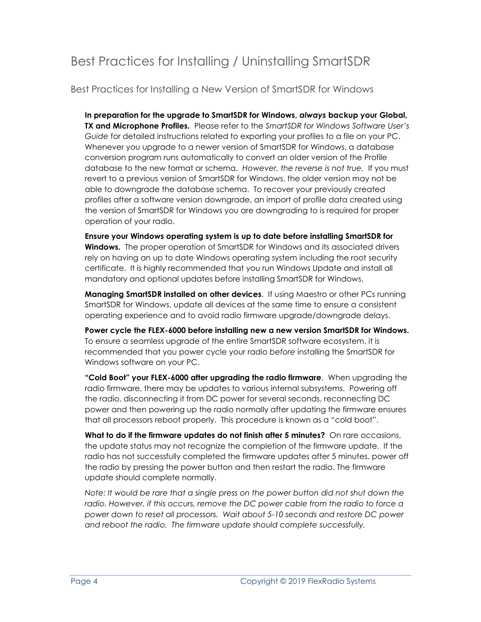## Best Practices for Installing / Uninstalling SmartSDR

Best Practices for Installing a New Version of SmartSDR for Windows

**In preparation for the upgrade to SmartSDR for Windows,** *always* **backup your Global, TX and Microphone Profiles.** Please refer to the *SmartSDR for Windows Software User's Guide* for detailed instructions related to exporting your profiles to a file on your PC. Whenever you upgrade to a newer version of SmartSDR for Windows, a database conversion program runs automatically to convert an older version of the Profile database to the new format or schema. *However, the reverse is not true.* If you must revert to a previous version of SmartSDR for Windows, the older version may not be able to downgrade the database schema. To recover your previously created profiles after a software version downgrade, an import of profile data created using the version of SmartSDR for Windows you are downgrading to is required for proper operation of your radio.

**Ensure your Windows operating system is up to date before installing SmartSDR for Windows.** The proper operation of SmartSDR for Windows and its associated drivers rely on having an up to date Windows operating system including the root security certificate. It is highly recommended that you run Windows Update and install all mandatory and optional updates before installing SmartSDR for Windows.

**Managing SmartSDR installed on other devices**. If using Maestro or other PCs running SmartSDR for Windows, update all devices at the same time to ensure a consistent operating experience and to avoid radio firmware upgrade/downgrade delays.

**Power cycle the FLEX-6000 before installing new a new version SmartSDR for Windows.**  To ensure a seamless upgrade of the entire SmartSDR software ecosystem, it is recommended that you power cycle your radio *before* installing the SmartSDR for Windows software on your PC.

**"Cold Boot" your FLEX-6000 after upgrading the radio firmware**. When upgrading the radio firmware, there may be updates to various internal subsystems. Powering off the radio, disconnecting it from DC power for several seconds, reconnecting DC power and then powering up the radio normally after updating the firmware ensures that all processors reboot properly. This procedure is known as a "cold boot".

**What to do if the firmware updates do not finish after 5 minutes?** On rare occasions, the update status may not recognize the completion of the firmware update. If the radio has not successfully completed the firmware updates after 5 minutes, power off the radio by pressing the power button and then restart the radio. The firmware update should complete normally.

*Note: It would be rare that a single press on the power button did not shut down the radio. However, if this occurs, remove the DC power cable from the radio to force a power down to reset all processors. Wait about 5-10 seconds and restore DC power and reboot the radio. The firmware update should complete successfully.*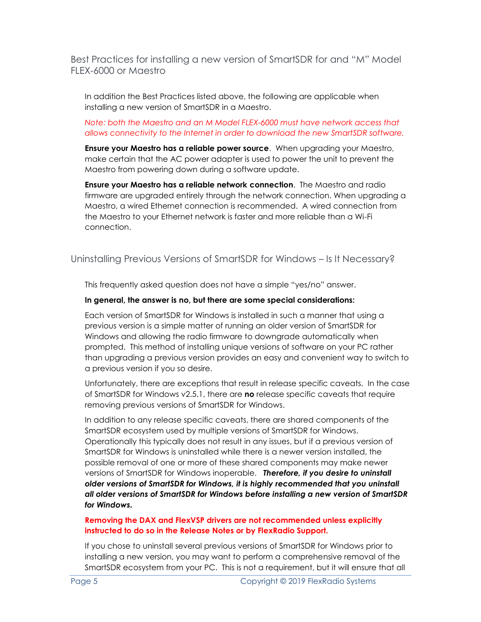Best Practices for installing a new version of SmartSDR for and "M" Model FLEX-6000 or Maestro

In addition the Best Practices listed above, the following are applicable when installing a new version of SmartSDR in a Maestro.

#### *Note: both the Maestro and an M Model FLEX-6000 must have network access that allows connectivity to the Internet in order to download the new SmartSDR software.*

**Ensure your Maestro has a reliable power source**. When upgrading your Maestro, make certain that the AC power adapter is used to power the unit to prevent the Maestro from powering down during a software update.

**Ensure your Maestro has a reliable network connection**. The Maestro and radio firmware are upgraded entirely through the network connection. When upgrading a Maestro, a wired Ethernet connection is recommended. A wired connection from the Maestro to your Ethernet network is faster and more reliable than a Wi-Fi connection.

#### Uninstalling Previous Versions of SmartSDR for Windows – Is It Necessary?

This frequently asked question does not have a simple "yes/no" answer.

#### **In general, the answer is no, but there are some special considerations:**

Each version of SmartSDR for Windows is installed in such a manner that using a previous version is a simple matter of running an older version of SmartSDR for Windows and allowing the radio firmware to downgrade automatically when prompted. This method of installing unique versions of software on your PC rather than upgrading a previous version provides an easy and convenient way to switch to a previous version if you so desire.

Unfortunately, there are exceptions that result in release specific caveats. In the case of SmartSDR for Windows v2.5.1, there are **no** release specific caveats that require removing previous versions of SmartSDR for Windows.

In addition to any release specific caveats, there are shared components of the SmartSDR ecosystem used by multiple versions of SmartSDR for Windows. Operationally this typically does not result in any issues, but if a previous version of SmartSDR for Windows is uninstalled while there is a newer version installed, the possible removal of one or more of these shared components may make newer versions of SmartSDR for Windows inoperable. *Therefore, if you desire to uninstall older versions of SmartSDR for Windows, it is highly recommended that you uninstall all older versions of SmartSDR for Windows before installing a new version of SmartSDR for Windows.* 

#### **Removing the DAX and FlexVSP drivers are not recommended unless explicitly instructed to do so in the Release Notes or by FlexRadio Support.**

If you chose to uninstall several previous versions of SmartSDR for Windows prior to installing a new version, you may want to perform a comprehensive removal of the SmartSDR ecosystem from your PC. This is not a requirement, but it will ensure that all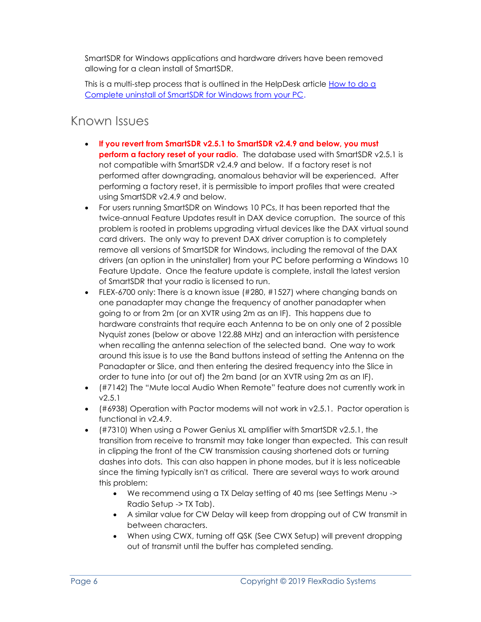SmartSDR for Windows applications and hardware drivers have been removed allowing for a clean install of SmartSDR.

This is a multi-step process that is outlined in the HelpDesk article <u>How to do a</u> [Complete uninstall of SmartSDR for Windows from your PC.](https://helpdesk.flexradio.com/hc/en-us/articles/204975589-How-to-do-a-Complete-uninstall-of-SmartSDR-for-Windows-from-your-PC)

### Known Issues

- **If you revert from SmartSDR v2.5.1 to SmartSDR v2.4.9 and below, you must perform a factory reset of your radio.** The database used with SmartSDR v2.5.1 is not compatible with SmartSDR v2.4.9 and below. If a factory reset is not performed after downgrading, anomalous behavior will be experienced. After performing a factory reset, it is permissible to import profiles that were created using SmartSDR v2.4.9 and below.
- For users running SmartSDR on Windows 10 PCs, It has been reported that the twice-annual Feature Updates result in DAX device corruption. The source of this problem is rooted in problems upgrading virtual devices like the DAX virtual sound card drivers. The only way to prevent DAX driver corruption is to completely remove all versions of SmartSDR for Windows, including the removal of the DAX drivers (an option in the uninstaller) from your PC before performing a Windows 10 Feature Update. Once the feature update is complete, install the latest version of SmartSDR that your radio is licensed to run.
- FLEX-6700 only: There is a known issue (#280, #1527) where changing bands on one panadapter may change the frequency of another panadapter when going to or from 2m (or an XVTR using 2m as an IF). This happens due to hardware constraints that require each Antenna to be on only one of 2 possible Nyquist zones (below or above 122.88 MHz) and an interaction with persistence when recalling the antenna selection of the selected band. One way to work around this issue is to use the Band buttons instead of setting the Antenna on the Panadapter or Slice, and then entering the desired frequency into the Slice in order to tune into (or out of) the 2m band (or an XVTR using 2m as an IF).
- (#7142) The "Mute local Audio When Remote" feature does not currently work in v2.5.1
- (#6938) Operation with Pactor modems will not work in v2.5.1. Pactor operation is functional in v2.4.9.
- (#7310) When using a Power Genius XL amplifier with SmartSDR v2.5.1, the transition from receive to transmit may take longer than expected. This can result in clipping the front of the CW transmission causing shortened dots or turning dashes into dots. This can also happen in phone modes, but it is less noticeable since the timing typically isn't as critical. There are several ways to work around this problem:
	- We recommend using a TX Delay setting of 40 ms (see Settings Menu -> Radio Setup -> TX Tab).
	- A similar value for CW Delay will keep from dropping out of CW transmit in between characters.
	- When using CWX, turning off QSK (See CWX Setup) will prevent dropping out of transmit until the buffer has completed sending.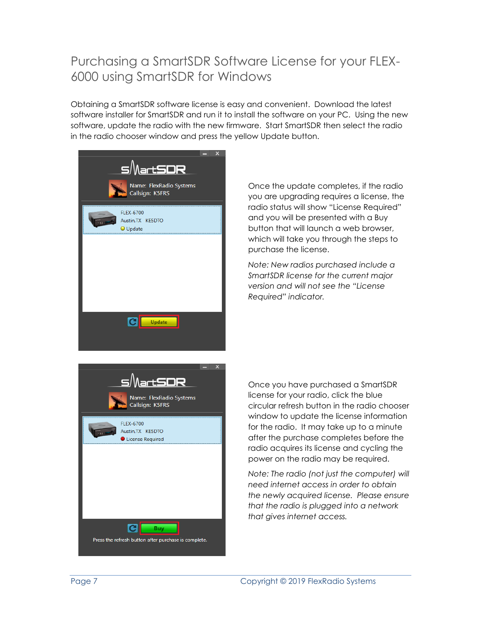### Purchasing a SmartSDR Software License for your FLEX-6000 using SmartSDR for Windows

Obtaining a SmartSDR software license is easy and convenient. Download the latest software installer for SmartSDR and run it to install the software on your PC. Using the new software, update the radio with the new firmware. Start SmartSDR then select the radio in the radio chooser window and press the yellow Update button.



Once the update completes, if the radio you are upgrading requires a license, the radio status will show "License Required" and you will be presented with a Buy button that will launch a web browser, which will take you through the steps to purchase the license.

*Note: New radios purchased include a SmartSDR license for the current major version and will not see the "License Required" indicator.*



Once you have purchased a SmartSDR license for your radio, click the blue circular refresh button in the radio chooser window to update the license information for the radio. It may take up to a minute after the purchase completes before the radio acquires its license and cycling the power on the radio may be required.

*Note: The radio (not just the computer) will need internet access in order to obtain the newly acquired license. Please ensure that the radio is plugged into a network that gives internet access.*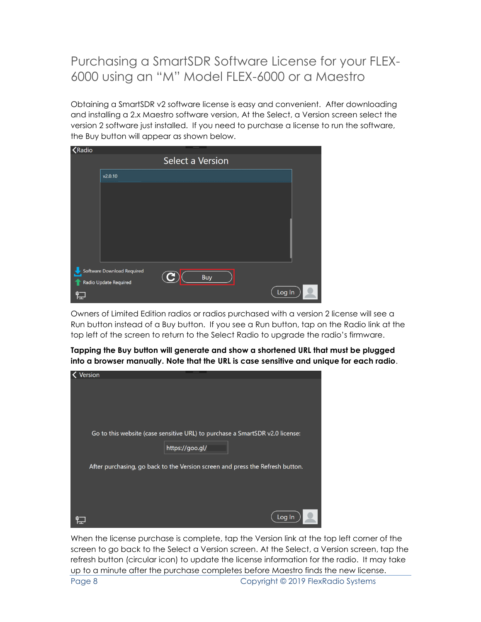## Purchasing a SmartSDR Software License for your FLEX-6000 using an "M" Model FLEX-6000 or a Maestro

Obtaining a SmartSDR v2 software license is easy and convenient. After downloading and installing a 2.x Maestro software version, At the Select, a Version screen select the version 2 software just installed. If you need to purchase a license to run the software, the Buy button will appear as shown below.

| <b>K</b> Radio |                                                     |                  |            |        |  |
|----------------|-----------------------------------------------------|------------------|------------|--------|--|
|                |                                                     | Select a Version |            |        |  |
|                | v2.0.10                                             |                  |            |        |  |
|                |                                                     |                  |            |        |  |
|                |                                                     |                  |            |        |  |
|                |                                                     |                  |            |        |  |
|                |                                                     |                  |            |        |  |
|                |                                                     |                  |            |        |  |
|                |                                                     |                  |            |        |  |
|                | Software Download Required<br>Radio Update Required |                  | <b>Buy</b> |        |  |
| ៣<br>Iш        |                                                     |                  |            | Log In |  |

Owners of Limited Edition radios or radios purchased with a version 2 license will see a Run button instead of a Buy button. If you see a Run button, tap on the Radio link at the top left of the screen to return to the Select Radio to upgrade the radio's firmware.

| Tapping the Buy button will generate and show a shortened URL that must be plugged      |
|-----------------------------------------------------------------------------------------|
| into a browser manually. Note that the URL is case sensitive and unique for each radio. |

| Version                                                                       |
|-------------------------------------------------------------------------------|
|                                                                               |
|                                                                               |
|                                                                               |
| Go to this website (case sensitive URL) to purchase a SmartSDR v2.0 license:  |
|                                                                               |
| https://goo.gl/                                                               |
| After purchasing, go back to the Version screen and press the Refresh button. |
|                                                                               |
|                                                                               |
|                                                                               |
| Log In                                                                        |

When the license purchase is complete, tap the Version link at the top left corner of the screen to go back to the Select a Version screen. At the Select, a Version screen, tap the refresh button (circular icon) to update the license information for the radio. It may take up to a minute after the purchase completes before Maestro finds the new license.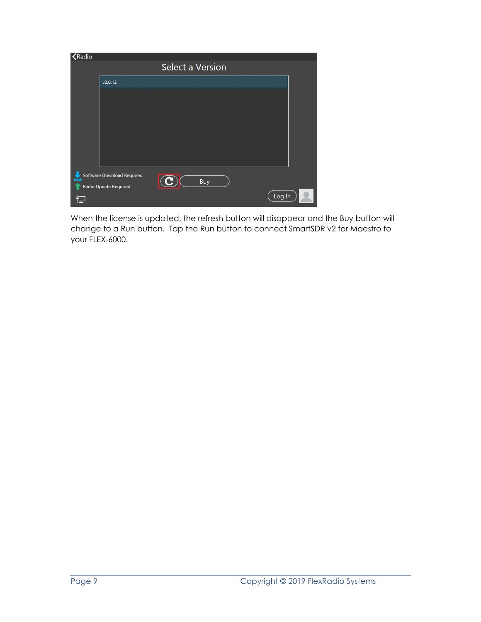| <b>K</b> adio |                                                     |                  |            |        |  |
|---------------|-----------------------------------------------------|------------------|------------|--------|--|
|               |                                                     | Select a Version |            |        |  |
|               | v2.0.12                                             |                  |            |        |  |
|               |                                                     |                  |            |        |  |
|               |                                                     |                  |            |        |  |
|               |                                                     |                  |            |        |  |
|               |                                                     |                  |            |        |  |
|               |                                                     |                  |            |        |  |
|               |                                                     |                  |            |        |  |
|               | Software Download Required<br>Radio Update Required |                  | <b>Buy</b> |        |  |
|               |                                                     |                  |            | Log In |  |

When the license is updated, the refresh button will disappear and the Buy button will change to a Run button. Tap the Run button to connect SmartSDR v2 for Maestro to your FLEX-6000.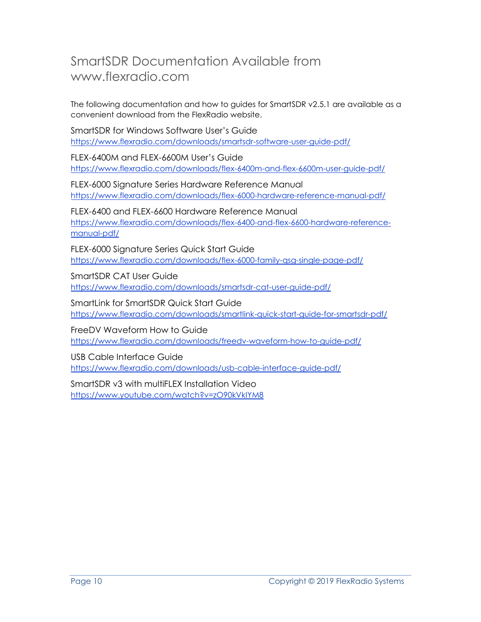### SmartSDR Documentation Available from www.flexradio.com

The following documentation and how to guides for SmartSDR v2.5.1 are available as a convenient download from the FlexRadio website.

SmartSDR for Windows Software User's Guide <https://www.flexradio.com/downloads/smartsdr-software-user-guide-pdf/>

FLEX-6400M and FLEX-6600M User's Guide <https://www.flexradio.com/downloads/flex-6400m-and-flex-6600m-user-guide-pdf/>

FLEX-6000 Signature Series Hardware Reference Manual <https://www.flexradio.com/downloads/flex-6000-hardware-reference-manual-pdf/>

FLEX-6400 and FLEX-6600 Hardware Reference Manual [https://www.flexradio.com/downloads/flex-6400-and-flex-6600-hardware-reference](https://www.flexradio.com/downloads/flex-6400-and-flex-6600-hardware-reference-manual-pdf/)[manual-pdf/](https://www.flexradio.com/downloads/flex-6400-and-flex-6600-hardware-reference-manual-pdf/)

FLEX-6000 Signature Series Quick Start Guide <https://www.flexradio.com/downloads/flex-6000-family-qsg-single-page-pdf/>

SmartSDR CAT User Guide <https://www.flexradio.com/downloads/smartsdr-cat-user-guide-pdf/>

SmartLink for SmartSDR Quick Start Guide <https://www.flexradio.com/downloads/smartlink-quick-start-guide-for-smartsdr-pdf/>

FreeDV Waveform How to Guide <https://www.flexradio.com/downloads/freedv-waveform-how-to-guide-pdf/>

USB Cable Interface Guide <https://www.flexradio.com/downloads/usb-cable-interface-guide-pdf/>

SmartSDR v3 with multiFLEX Installation Video <https://www.youtube.com/watch?v=zO90kVkIYM8>